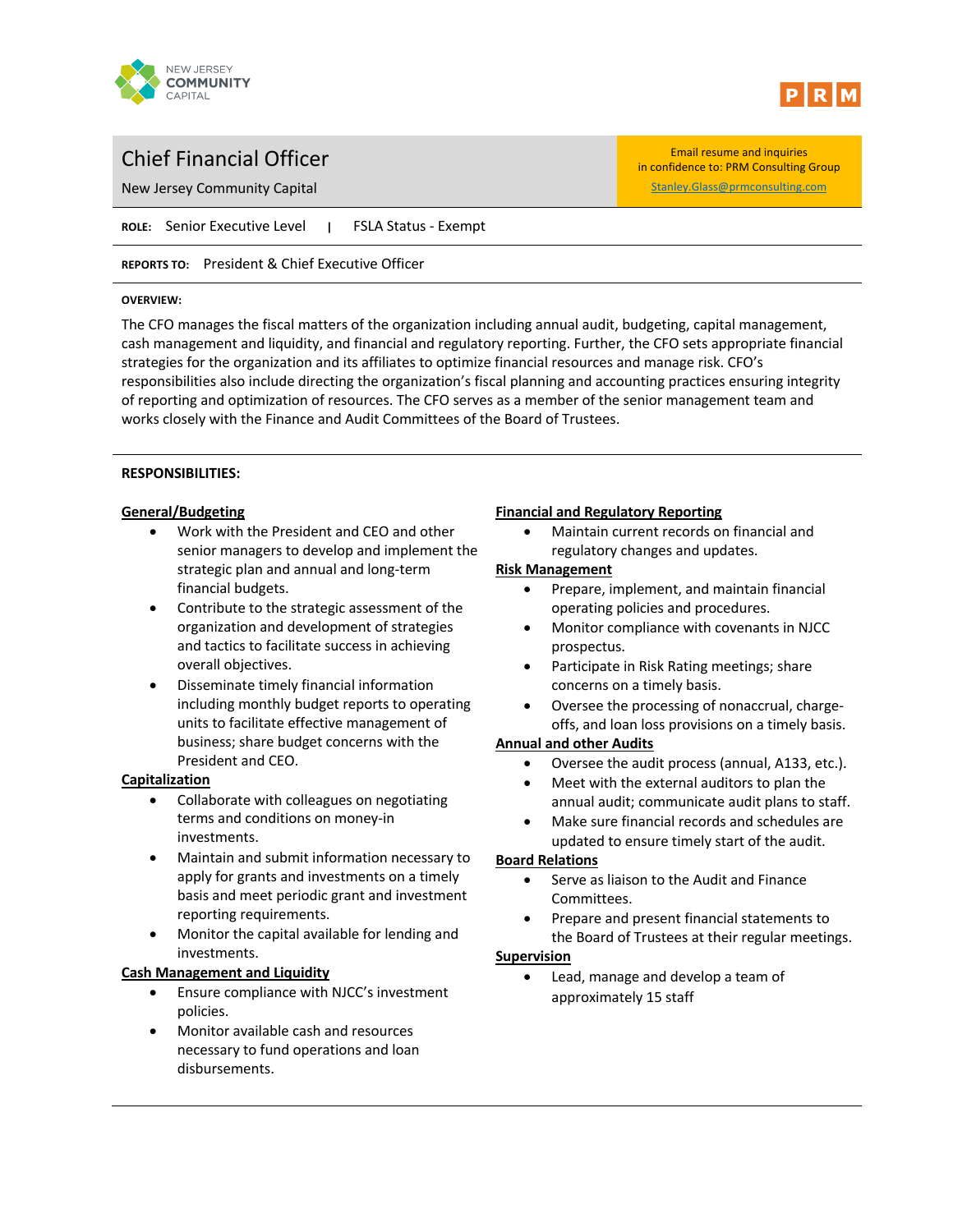



in confidence to: PRM Consulting Group

# Chief Financial Officer **Email resume and inquiries**

New Jersey Community Capital Stanley.Glass@prmconsulting.com

**ROLE:** Senior Executive Level **|** FSLA Status - Exempt

**REPORTS TO:** President & Chief Executive Officer

#### **OVERVIEW:**

The CFO manages the fiscal matters of the organization including annual audit, budgeting, capital management, cash management and liquidity, and financial and regulatory reporting. Further, the CFO sets appropriate financial strategies for the organization and its affiliates to optimize financial resources and manage risk. CFO's responsibilities also include directing the organization's fiscal planning and accounting practices ensuring integrity of reporting and optimization of resources. The CFO serves as a member of the senior management team and works closely with the Finance and Audit Committees of the Board of Trustees.

## **RESPONSIBILITIES:**

## **General/Budgeting**

- Work with the President and CEO and other senior managers to develop and implement the strategic plan and annual and long-term financial budgets.
- Contribute to the strategic assessment of the organization and development of strategies and tactics to facilitate success in achieving overall objectives.
- Disseminate timely financial information including monthly budget reports to operating units to facilitate effective management of business; share budget concerns with the President and CEO.

# **Capitalization**

- Collaborate with colleagues on negotiating terms and conditions on money-in investments.
- Maintain and submit information necessary to apply for grants and investments on a timely basis and meet periodic grant and investment reporting requirements.
- Monitor the capital available for lending and investments.

# **Cash Management and Liquidity**

- Ensure compliance with NJCC's investment policies.
- Monitor available cash and resources necessary to fund operations and loan disbursements.

## **Financial and Regulatory Reporting**

• Maintain current records on financial and regulatory changes and updates.

## **Risk Management**

- Prepare, implement, and maintain financial operating policies and procedures.
- Monitor compliance with covenants in NJCC prospectus.
- Participate in Risk Rating meetings; share concerns on a timely basis.
- Oversee the processing of nonaccrual, chargeoffs, and loan loss provisions on a timely basis.

# **Annual and other Audits**

- Oversee the audit process (annual, A133, etc.).
- Meet with the external auditors to plan the annual audit; communicate audit plans to staff.
- Make sure financial records and schedules are updated to ensure timely start of the audit.

# **Board Relations**

- Serve as liaison to the Audit and Finance Committees.
- Prepare and present financial statements to the Board of Trustees at their regular meetings.

# **Supervision**

• Lead, manage and develop a team of approximately 15 staff